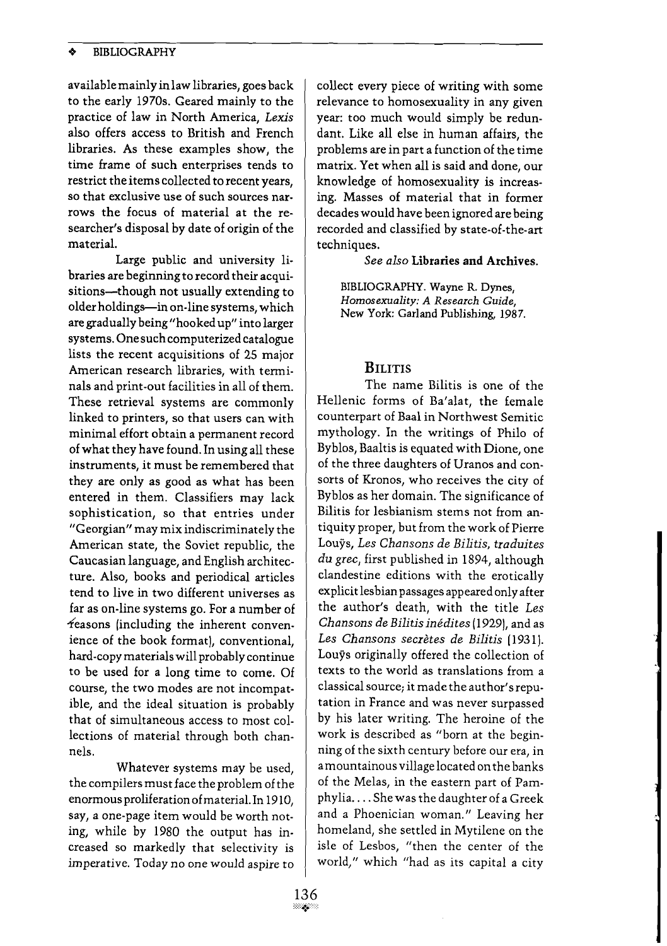availablemainly inlaw libraries, goes back to the early 1970s. Geared mainly to the practice of law in North America, *Lexis*  also offers access to British and French libraries. As these examples show, the time frame of such enterprises tends to restrict the items collected to recent years. so that exclusive use of such sources narrows the focus of material at the researcher's disposal by date of origin of the material.

Large public and university libraries are beginning to record their acquisitions-though not usually extending to older holdings-in on-line systems, which **are** gradually beingl/hooked up" into larger systems. One such computerized catalogue lists the recent acquisitions of 25 major American research libraries, with terminals and print-out facilities in all of them. These retrieval systems are commonly linked to printers, so that users can with minimal effort obtain a permanent record of what they have found. In using all these instruments, it must be remembered that they are only as good as what has been entered in them. Classifiers may lack sophistication, so that entries under "Georgian" may mix indiscriminately the American state, the Soviet republic, the Caucasian language, and English architecture. Also, books and periodical articles tend to live in two different universes as far as on-line systems go. For a number of 4easons (including the inherent convenience of the book format), conventional, hard-copy materialswill probably continue to be used for a long time to come. Of course, the two modes are not incompatible, and the ideal situation is probably that of simultaneous access to most collections of material through both channels.

Whatever systems may be used, the compilers must face the problem of the enormous proliferation of material. In 19 10, say, a one-page item would be worth noting, while by 1980 the output has increased so markedly that selectivity is imperative. Today no one would aspire to

collect every piece of writing with some relevance to homosexuality in any given year: too much would simply be redundant. Like all else in human affairs, the problems are in part a function of the time matrix. Yet when all is said and done, our knowledge of homosexuality is increasing. Masses of material that in former decades would have been ignored are being recorded and classified by state-of-the-art techniques.

## *See also* Libraries **and** Archives.

BIBLIOGRAPHY. Wayne R. **Dynes,**  *Homosexuality: A Research* **Guide,**  New **York:** Garland Publishing, 1987.

## **BILITIS**

The name Bilitis is one of the Hellenic forms of Ba'alat, the female counterpart of Baal in Northwest Semitic mythology. In the writings of Philo of Byblos, Baaltis is equated with Dione, one of the three daughters of Uranos and consorts of Kronos, who receives the city of Byblos as her domain. The significance of Bilitis for lesbianism stems not from antiquity proper, but from the work of Pierre Louys, *Les Chansons de Bilitis, traduites du grec,* first published in 1894, although clandestine editions with the erotically explicit lesbian passages appeared only after the author's death, with the title *Les Chansons* de *Bilitis inidites* (1 9291, and as *Les Chansons secrbtes de Bilitis* (193 1). Louys originally offered the collection of texts to the world as translations from a classical source; it made the author's reputation in France and was never surpassed by his later writing. The heroine of the work is described as "born at the beginning of the sixth century before our era, in amountainousvillage located onthe banks of the Melas, in the eastern part of Pamphylia.. . . Shewas the daughter of a Greek and a Phoenician woman." Leaving her homeland, she settled in Mytilene on the isle of Lesbos, "then the center of the world," which "had as its capital a city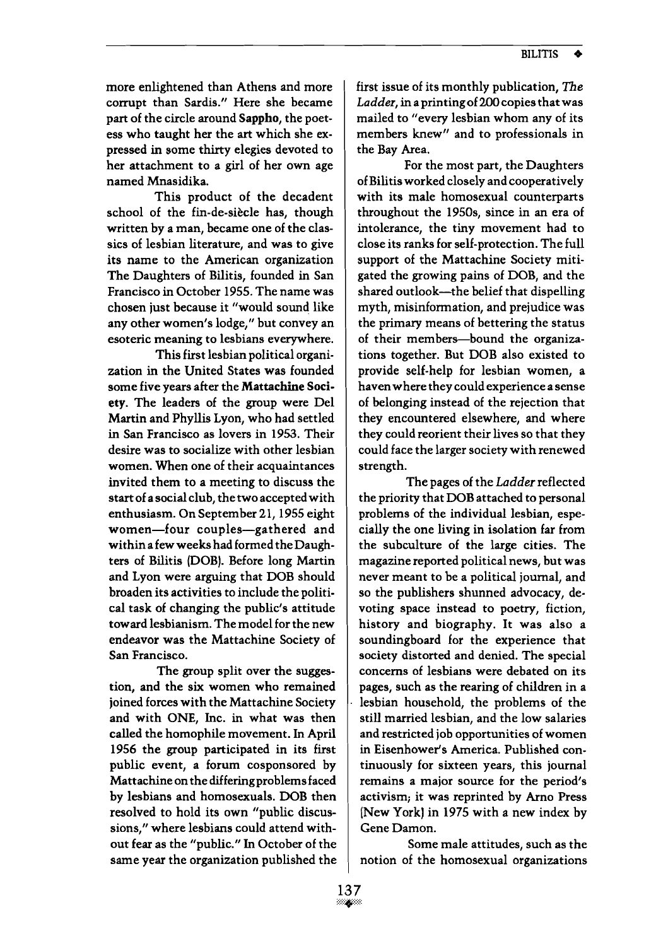more enlightened than Athens and more corrupt than Sardis." Here she became part of the circle around Sappho, the poetess who taught her the art which she expressed in some thirty elegies devoted to her attachment to a girl of her own age named Mnasidika.

This product of the decadent school of the fin-de-siècle has, though written by a man, became one of the classics of lesbian literature, and was to give its name to the American organization The Daughters of Bilitis, founded in San Francisco in October 1955. The name was chosen just because it "would sound like any other women's lodge," but convey an esoteric meaning to lesbians everywhere.

This first lesbian political organization in the United States was founded some five years after the Mattachine Soci**ety.** The leaders of the group were Del Martin and Phyllis Lyon, who had settled in San Francisco as lovers in 1953. Their desire was to socialize with other lesbian women. When one of their acquaintances invited them to a meeting to discuss the start of a social club, the two accepted with enthusiasm. On September 21,1955 eight women-four couples-gathered and within a few weeks had formed theDaughters of Bilitis (DOB). Before long Martin and Lyon were arguing that DOB should broaden its activities to include the political task of changing the public's attitude toward lesbianism. The model for the new endeavor was the Mattachine Society of San Francisco.

The group split over the suggestion, and the six women who remained joined forces with the Mattachine Society and with ONE, Inc. in what was then called the homophile movement. In April 1956 the group participated in its first public event, a forum cosponsored by Mattachine on the differingproblems faced by lesbians and homosexuals. DOB then resolved to hold its own "public discussions," where lesbians could attend without fear as the "public." In October of the same year the organization published the first issue of its monthly publication, The Ladder, in a printing of 200 copies that was mailed to "every lesbian whom any of its members knew" and to professionals in the Bay Area.

For the most part, the Daughters of Bilitis worked closely and cooperatively with its male homosexual counterparts throughout the 1950s, since in an era of intolerance, the tiny movement had to close its ranks for self-protection. The full support of the Mattachine Society mitigated the growing pains of DOB, and the shared outlook-the belief that dispelling myth, misinformation, and prejudice was the primary means of bettering the status of their members--bound the organizations together. But DOB also existed to provide self-help for lesbian women, a haven where they could experience a sense of belonging instead of the rejection that they encountered elsewhere, and where they could reorient their lives so that they could face the larger society with renewed strength.

The pages of the Ladder reflected the priority that DOB attached to personal problems of the individual lesbian, especially the one living in isolation far from the subculture of the large cities. The magazine reported political news, but was never meant to be a political journal, and so the publishers shunned advocacy, devoting space instead to poetry, fiction, history and biography. It was also a soundingboard for the experience that society distorted and denied. The special concerns of lesbians were debated on its pages, such as the rearing of children in a lesbian household, the problems of the still married lesbian, and the low salaries and restricted job opportunities of women in Eisenhower's America. Published continuously for sixteen years, this journal remains a major source for the period's activism; it was reprinted by Arno Press (New York) in 1975 with a new index by Gene Damon.

Some male attitudes, such as the notion of the homosexual organizations